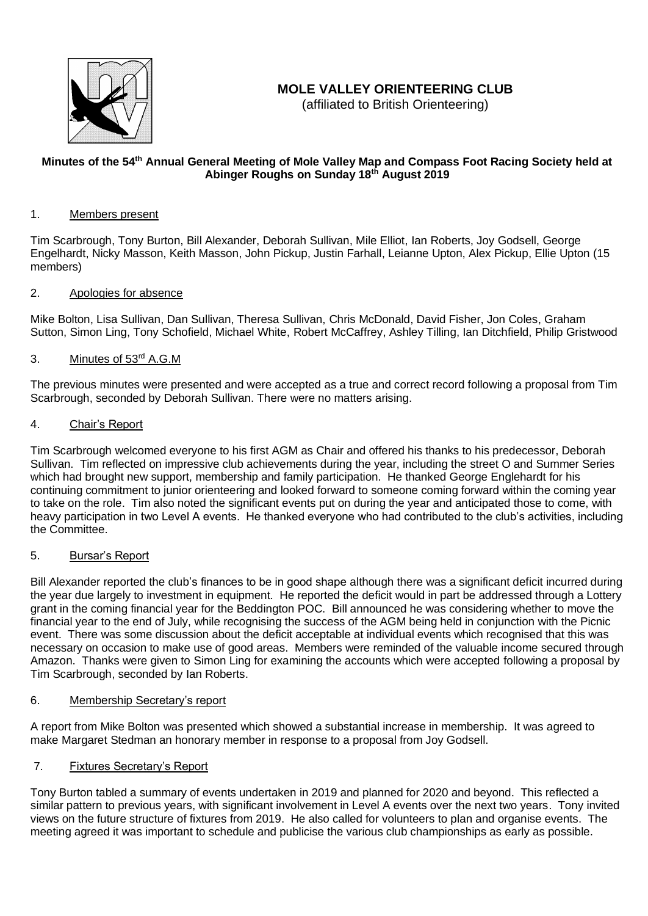

# **MOLE VALLEY ORIENTEERING CLUB**

(affiliated to British Orienteering)

## Minutes of the 54<sup>th</sup> Annual General Meeting of Mole Valley Map and Compass Foot Racing Society held at **Abinger Roughs on Sunday 18th August 2019**

### 1. Members present

Tim Scarbrough, Tony Burton, Bill Alexander, Deborah Sullivan, Mile Elliot, Ian Roberts, Joy Godsell, George Engelhardt, Nicky Masson, Keith Masson, John Pickup, Justin Farhall, Leianne Upton, Alex Pickup, Ellie Upton (15 members)

### 2. Apologies for absence

Mike Bolton, Lisa Sullivan, Dan Sullivan, Theresa Sullivan, Chris McDonald, David Fisher, Jon Coles, Graham Sutton, Simon Ling, Tony Schofield, Michael White, Robert McCaffrey, Ashley Tilling, Ian Ditchfield, Philip Gristwood

### 3. Minutes of 53<sup>rd</sup> A.G.M

The previous minutes were presented and were accepted as a true and correct record following a proposal from Tim Scarbrough, seconded by Deborah Sullivan. There were no matters arising.

### 4. Chair's Report

Tim Scarbrough welcomed everyone to his first AGM as Chair and offered his thanks to his predecessor, Deborah Sullivan. Tim reflected on impressive club achievements during the year, including the street O and Summer Series which had brought new support, membership and family participation. He thanked George Englehardt for his continuing commitment to junior orienteering and looked forward to someone coming forward within the coming year to take on the role. Tim also noted the significant events put on during the year and anticipated those to come, with heavy participation in two Level A events. He thanked everyone who had contributed to the club's activities, including the Committee.

### 5. Bursar's Report

Bill Alexander reported the club's finances to be in good shape although there was a significant deficit incurred during the year due largely to investment in equipment. He reported the deficit would in part be addressed through a Lottery grant in the coming financial year for the Beddington POC. Bill announced he was considering whether to move the financial year to the end of July, while recognising the success of the AGM being held in conjunction with the Picnic event. There was some discussion about the deficit acceptable at individual events which recognised that this was necessary on occasion to make use of good areas. Members were reminded of the valuable income secured through Amazon. Thanks were given to Simon Ling for examining the accounts which were accepted following a proposal by Tim Scarbrough, seconded by Ian Roberts.

### 6. Membership Secretary's report

A report from Mike Bolton was presented which showed a substantial increase in membership. It was agreed to make Margaret Stedman an honorary member in response to a proposal from Joy Godsell.

### 7. Fixtures Secretary's Report

Tony Burton tabled a summary of events undertaken in 2019 and planned for 2020 and beyond. This reflected a similar pattern to previous years, with significant involvement in Level A events over the next two years. Tony invited views on the future structure of fixtures from 2019. He also called for volunteers to plan and organise events. The meeting agreed it was important to schedule and publicise the various club championships as early as possible.